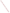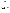# **THE ENVIRONMENTAL TECHNOLOGY VERIFICATION PROGRAM**



## **Battelle** The Business of Innovation

# **ETV Joint Verification Statement**

| <b>TECHNOLOGY TYPE: Atrazine Test Kit</b>           |                                                     |      |                                     |  |
|-----------------------------------------------------|-----------------------------------------------------|------|-------------------------------------|--|
| <b>APPLICATION:</b>                                 | ANALYSIS OF ATRAZINE IN WATER                       |      |                                     |  |
| <b>TECHNOLOGY NAME: RaPID Assay<sup>®</sup> Kit</b> |                                                     |      |                                     |  |
| <b>COMPANY:</b>                                     | <b>Strategic Diagnostics Inc.</b>                   |      |                                     |  |
| <b>ADDRESS:</b>                                     | <b>111 Pencader Drive</b><br><b>Newark DE 19702</b> | FAX: | PHONE: 302-456-6789<br>302-456-6782 |  |
| <b>WEB SITE:</b><br><b>EMAIL:</b>                   | www.sdix.com<br>sales@sdix.com                      |      |                                     |  |

The U.S. Environmental Protection Agency (EPA) has created the Environmental Technology Verification (ETV) Program to facilitate the deployment of innovative or improved environmental technologies through performance verification and dissemination of information. The goal of the ETV Program is to further environmental protection by accelerating the acceptance and use of improved and cost-effective technologies. ETV seeks to achieve this goal by providing high-quality, peer-reviewed data on technology performance to those involved in the design, distribution, financing, permitting, purchase, and use of environmental technologies. Information and ETV documents are available at www.epa.gov/etv.

ETV works in partnership with recognized standards and testing organizations; with stakeholder groups that consist of buyers, vendor organizations, and permitters; and with the full participation of individual technology developers. The program evaluates the performance of innovative technologies by developing test plans that are responsive to the needs of stakeholders, conducting field or laboratory tests (as appropriate), collecting and analyzing data, and preparing peer-reviewed reports. All evaluations are conducted in accordance with rigorous quality assurance (QA) protocols to ensure that data of known and adequate quality are generated and that the results are defensible.

The Advanced Monitoring Systems (AMS) Center, one of seven technology areas under ETV, is operated by Battelle in cooperation with EPA's National Exposure Research Laboratory. The AMS Center has recently evaluated the performance of test kits for the analysis of atrazine in water. This verification statement provides a summary of the test results for the Strategic Diagnostics, Inc. RaPID Assay® Kit.

### **VERIFICATION TEST DESCRIPTION**

The RaPID Assay<sup>®</sup> Kit was verified in terms of its performance on the following parameters: accuracy, precision, linearity, method detection limit (MDL), cross-reactivity of hydroxylatrazine and desethyl atrazine, matrix interference effects, and rate of false positives/false negatives. Qualitative factors including ease of use, reliability, and sample throughput were also evaluated. All preparation and analyses were performed according to the manufacturer's recommended procedures. The verification test involved challenging the RaPID Assay® Kit with seven performance test (PT) samples and four types of environmental samples. The PT samples consisted of ASTM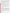Type I water samples fortified with atrazine or an atrazine degradation product. Five of the PT samples contained atrazine at concentrations ranging from 0.1 to 5 parts per billion (ppb), and two of the samples contained 3 ppb of a cross-reactive compound, but no atrazine. Four types of environmental samples also were analyzed: fresh pond water, brackish pond water, groundwater, and chlorinated drinking water. Environmental samples were filtered prior to test kit analysis. The background atrazine concentration in each environmental sample was less than 0.062 ppb. Each environmental sample was fortified in the laboratory at concentrations of 1 ppb and 3 ppb atrazine. All laboratoryfortified samples were prepared using certified, commercially available standards. All samples were analyzed by the RaPID Assay® Kit and by gas chromatography/mass spectrometry (GC/MS) according to modified EPA Method 525.2. Each sample was analyzed in triplicate using the test kit (seven replicates of the MDL sample were analyzed). Samples were given to the analyst blind and in random order.

The verification test was conducted in September 2003 at the Battelle laboratory in Duxbury, Massachusetts. Environmental samples were provided by the National Oceanic and Atmospheric Administration, National Ocean Service's Center for Coastal Environmental Health and Biomolecular Research Center at Charleston, and the University of Missouri - Rolla. Reference laboratory analyses were provided by the EPA's Office of Pesticide Programs, Environmental Chemistry Branch at the John C. Stennis Space Center. Test kit analyses were conducted by the Texas Commission on Environmental Quality.

The RaPID Assay® Kit and reference method results were used to assess accuracy and linearity. Replicate sample results were used to assess precision. Results for replicates of a low-level spiked sample were used to evaluate the MDL. Cross-reactivity of hydroxyatrazine and desethyl atrazine were assessed by evaluating the RaPID Assay® Kit results for samples that contained only one degradation compound, but not atrazine. Potential matrix effects were assessed by comparing accuracy and precision results for environmental samples (i.e., chlorinated drinking water, fresh surface water, brackish surface water, and groundwater) to those for ASTM Type I water samples. Performance parameters, such as ease of use and reliability, were based on documented observations of the analyst. Sample throughput was estimated based on the time required to analyze a sample set.

QA oversight of verification testing was provided by Battelle and EPA. Battelle QA staff conducted a data quality audit of 10% of the test data, a performance evaluation audit, and a technical systems audit of the procedures used in this verification. This verification statement, the full report on which it is based, and the test/QA plan for this verification are all available at www.epa.gov/etv/centers/center1.html.

### **TECHNOLOGY DESCRIPTION**

The following description of the RaPID Assay<sup>®</sup> Kit is based on information provided by the vendor. This information was not verified in this test. The RaPID Assay<sup>®</sup> Kit is a magnetic-particle immunoassay for detecting the presence of atrazine in soil, food, or water samples. Testing can be done in the field or in the laboratory, and the RaPID Assay® provides quantitative, semi-quantiative, or qualitative data. The RaPID Assay® test kit consists of antibody-coated magnetic particles; enzyme conjugate; color development, stop, and wash reagents for analysis of either 100 or 30 test tubes; standards (atrazine at 0.1, 1.0, and 5.0 parts per billion [ppb]); control (atrazine at  $3 \pm 0.6$  ppb); dilute/zero standard (an atrazine-free solution with preservative and stabilizers); disposable test tubes; and instructions. The prepared sample, enzyme conjugate, and antibody-coupled magnetic particles are added to test tubes and incubated. The tubes are decanted and washed using a magnetic separation rack (which is not part of the kit). Color reagents are added to the tubes, and they are incubated again; after which stopping solution is added, and the quantitative results are calculated and printed using a photometer. The vendor-stated detection limit of the test kit is 0.05 ppb atrazine.

The 30-tube RaPID Assay® Kit costs \$230, and the 100-tube kit costs \$510. The 30-tube kit analyzes up to 21 samples, and the 100-tube kit up to 80 samples. Other materials that are required but are not provided with the RaPID Assay<sup>®</sup> Kit are pipettes (including a repeating pipette for the addition of reagents), an electric timer, a vortex mixer, a magnetic separation rack, and a photometer capable of readings at 450 nanometers (nm). These materials can be purchased separately or rented.

### **VERIFICATION OF PERFORMANCE**

Quantitative performance results for all parameters except ease of use, reliability, and sample throughput are summarized in the table below.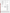| <b>Parameter</b>                        | <b>Performance Results</b>        | <b>Comments</b>                                    |
|-----------------------------------------|-----------------------------------|----------------------------------------------------|
| Accuracy (percent recovery)             |                                   |                                                    |
| PT samples, $0.1 - 5$ ppb atrazine      | 96% - 151%; average 124%          |                                                    |
| Environmental samples: 1 ppb and        |                                   |                                                    |
| 3 ppb atrazine-fortified, respectively: |                                   |                                                    |
| Fresh pond water                        | 156% and 102%                     | Background atrazine                                |
| Brackish pond water                     | 145% and 102%                     | concentrations in all                              |
| Groundwater                             | 137% and 118%                     | environmental samples                              |
| Chlorinated drinking water              | 177% and 133%                     | were $<0.062$ ppb.                                 |
| Precision (relative standard deviation) |                                   |                                                    |
| PT samples, $0.1 - 5$ ppb atrazine and  | 0.9% - 51.1%; average 14.7%       |                                                    |
| cross-reactivity samples                |                                   |                                                    |
| Environmental samples: 1 ppb and        |                                   |                                                    |
| 3 ppb atrazine-fortified, respectively: |                                   |                                                    |
| Fresh pond water                        | 10.6% and 16.7%                   |                                                    |
| Brackish pond water                     | 6.8% and 8.6%                     |                                                    |
| Groundwater                             | 4.2% and 3.1%                     |                                                    |
| Chlorinated drinking water              | 2.6% and 6.3%                     |                                                    |
| Linearity                               |                                   |                                                    |
|                                         |                                   | Results for PT samples                             |
| Slope of regression equation            | 0.93<br>0.26                      | from $0.1$ ppb to 5 ppb<br>atrazine used to assess |
| y-intercept                             |                                   |                                                    |
| Correlation coefficient (r)             | 0.9950                            | linearity.                                         |
| <b>MDL</b>                              | 0.10 ppb atrazine                 | Based on analysis of 0.1                           |
|                                         |                                   | ppb atrazine spiked into                           |
|                                         |                                   | <b>ASTM</b> Type I water                           |
|                                         |                                   | sample.                                            |
| Cross-reactivity                        |                                   |                                                    |
| 3 ppb hydroxyatrazine                   | Average result 0.07 ppb atrazine  | Cross-reactivity samples                           |
| 3 ppb desethyl atrazine                 | Average result 0.34 ppb atrazine  | did not contain atrazine.                          |
| Matrix interference effects             | Possible minor interference from  | 1 ppb and 3 ppb atrazine-                          |
|                                         | brackish pond water matrix;       | fortified brackish pond                            |
|                                         | atrazine was detected in the      | water samples had similar                          |
|                                         | background sample at 0.09 ppb     | recoveries as 1 ppb and 3                          |
|                                         | (reference analysis showed <0.062 | ppb atrazine-fortified PT                          |
|                                         | ppb atrazine in this sample).     | samples.                                           |
| False positive results                  | 4 out of 38 results               | Evaluated relative to 0.1                          |
|                                         |                                   | ppb atrazine (lowest                               |
|                                         |                                   | calibration standard).                             |
|                                         |                                   | Three of the four false                            |
|                                         |                                   | positive results associated                        |
|                                         |                                   | with a sample containing                           |
|                                         |                                   | an atrazine degradation                            |
|                                         |                                   | product.                                           |
| False negative results                  | None                              | Evaluated relative to $\overline{0.1}$             |
|                                         |                                   | ppb atrazine (lowest                               |
|                                         |                                   | calibration standard).                             |
|                                         |                                   | Three of these results                             |
|                                         |                                   | associated with a sample                           |
|                                         |                                   | containing an atrazine                             |
|                                         |                                   | degradation product.                               |

During the test, the analyst recorded observations regarding ease of use, reliability, and sample throughput. The RaPID Assay® Kit was easy to use for an analyst with previous experience in performing immunoassay analyses. An analyst with less experience may not achieve the same level of performance. Consistency in analytical technique was a critical parameter, particularly during the addition of reagents. Although a single analyst can analyze samples with the RaPID Assay® Kit, the process was more efficient and less prone to error with a second person available to assist. A one-page summary diagram of the analytical sequence facilitated the analysis and reduced the chance for analyst error. The RaPID Assay<sup>®</sup> Kit is readily transportable and can be used in a mobile laboratory or indoor work space.